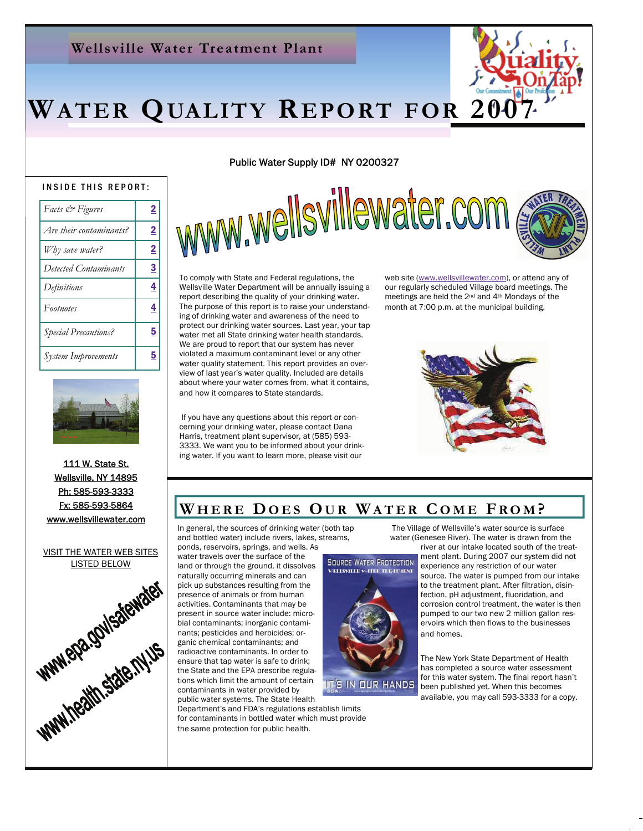### **Wellsville Water Treatment Plant**

# WATER QUALITY REPORT FOR 20

#### INSIDE THIS REPORT:

| Facts & Figures             | $\overline{2}$          |
|-----------------------------|-------------------------|
| Are their contaminants?     | $\overline{\mathbf{2}}$ |
| Why save water?             | $\overline{2}$          |
| Detected Contaminants       | <u>3</u>                |
| Definitions                 | 4                       |
| Footnotes                   | 4                       |
| <b>Special Precautions?</b> | <u>5</u>                |
| <b>System Improvements</b>  | <u>5</u>                |



111 W. State St. Wellsville, NY 14895 Ph: 585-593-3333 Fx: 585-593-5864 www.wellsvillewater.com

VISIT THE WATER WEB SITES LISTED BELOW



Public Water Supply ID# NY 0200327

www.wellsvillewater.com



To comply with State and Federal regulations, the Wellsville Water Department will be annually issuing a report describing the quality of your drinking water. The purpose of this report is to raise your understanding of drinking water and awareness of the need to protect our drinking water sources. Last year, your tap water met all State drinking water health standards. We are proud to report that our system has never violated a maximum contaminant level or any other water quality statement. This report provides an overview of last year's water quality. Included are details about where your water comes from, what it contains, and how it compares to State standards.

 If you have any questions about this report or concerning your drinking water, please contact Dana Harris, treatment plant supervisor, at (585) 593- 3333. We want you to be informed about your drinking water. If you want to learn more, please visit our

web site (www.wellsvillewater.com), or attend any of our regularly [scheduled Village board m](http://www.wellsvillewater.com/)eetings. The meetings are held the 2nd and 4th Mondays of the month at 7:00 p.m. at the municipal building.



### WHERE DOES OUR WATER COME FROM?

In general, the sources of drinking water (both tap and bottled water) include rivers, lakes, streams,

ponds, reservoirs, springs, and wells. As water travels over the surface of the naturally occurring minerals and can pick up substances resulting from the presence of animals or from human activities. Contaminants that may be present in source water include: microbial contaminants; inorganic contaminants; pesticides and herbicides; organic chemical contaminants; and radioactive contaminants. In order to ensure that tap water is safe to drink; the State and the EPA prescribe regulations which limit the amount of certain contaminants in water provided by public water systems. The State Health

Department's and FDA's regulations establish limits for contaminants in bottled water which must provide the same protection for public health.

 The Village of Wellsville's water source is surface water (Genesee River). The water is drawn from the



river at our intake located south of the treatment plant. During 2007 our system did not experience any restriction of our water source. The water is pumped from our intake to the treatment plant. After filtration, disinfection, pH adjustment, fluoridation, and corrosion control treatment, the water is then pumped to our two new 2 million gallon reservoirs which then flows to the businesses and homes.

The New York State Department of Health has completed a source water assessment for this water system. The final report hasn't been published yet. When this becomes

available, you may call 593-3333 for a copy.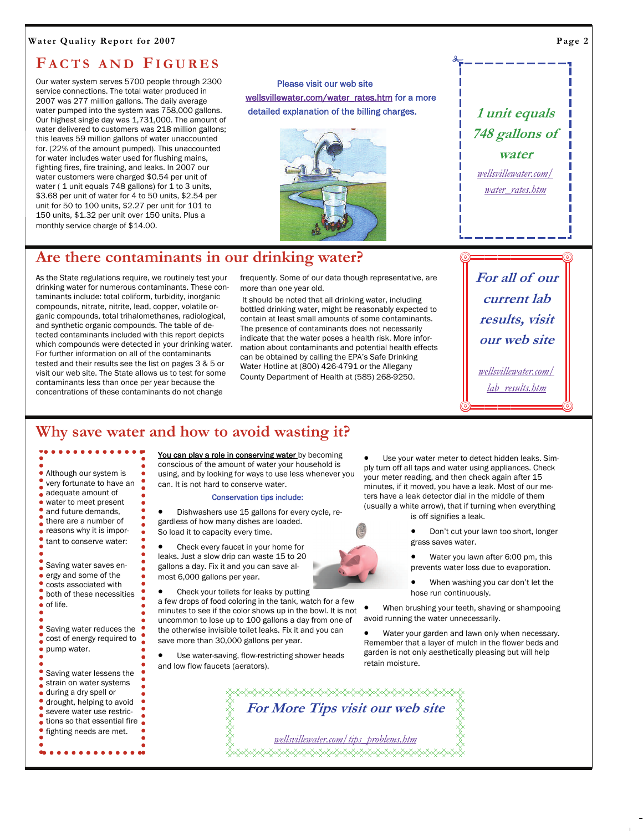#### **Water Quality Report for 2007**

### **F ACTS AND FIGURES**

Our water system serves 5700 people through 2300 service connections. The total water produced in 2007 was 277 million gallons. The daily average water pumped into the system was 758,000 gallons. Our highest single day was 1,731,000. The amount of water delivered to customers was 218 million gallons; this leaves 59 million gallons of water unaccounted for. (22% of the amount pumped). This unaccounted for water includes water used for flushing mains, fighting fires, fire training, and leaks. In 2007 our water customers were charged \$0.54 per unit of water (1 unit equals 748 gallons) for 1 to 3 units, \$3.68 per unit of water for 4 to 50 units, \$2.54 per unit for 50 to 100 units, \$2.27 per unit for 101 to 150 units, \$1.32 per unit over 150 units. Plus a monthly service charge of \$14.00.

 Please visit our web site wellsvillewater.com/water\_rates.htm for a more de[tailed explanation of the billing charge](http://www.wellsvillewater.com/water_rates.htm)s.



**1 unit equals 748 gallons of water** 

*wellsvillewater.com/ [water\\_rates.htm](http://www.wellsvillewater.com/water_rates.htm)*

### **Are there contaminants in our drinking water?**

As the State regulations require, we routinely test your drinking water for numerous contaminants. These contaminants include: total coliform, turbidity, inorganic compounds, nitrate, nitrite, lead, copper, volatile organic compounds, total trihalomethanes, radiological, and synthetic organic compounds. The table of detected contaminants included with this report depicts which compounds were detected in your drinking water. For further information on all of the contaminants tested and their results see the list on pages 3 & 5 or visit our web site. The State allows us to test for some contaminants less than once per year because the concentrations of these contaminants do not change

frequently. Some of our data though representative, are more than one year old.

 It should be noted that all drinking water, including bottled drinking water, might be reasonably expected to contain at least small amounts of some contaminants. The presence of contaminants does not necessarily indicate that the water poses a health risk. More information about contaminants and potential health effects can be obtained by calling the EPA's Safe Drinking Water Hotline at (800) 426-4791 or the Allegany County Department of Health at (585) 268-9250.

**For all of our current lab results, visit our web site** 

*wellsvillewater.com/ l[ab\\_results.htm](http://www.wellsvillewater.com/lab_results.htm)*

### **Why save water and how to avoid wasting it?**

Although our system is very fortunate to have an adequate amount of water to meet present and future demands, there are a number of reasons why it is important to conserve water: Saving water saves energy and some of the costs associated with both of these necessities  $\bullet$  of life.

• Saving water reduces the cost of energy required to pump water.

- **Saving water lessens the** strain on water systems
- during a dry spell or
- drought, helping to avoid
- severe water use restrictions so that essential fire

. . . . . . .

fighting needs are met.

You can play a role in conserving water by becoming conscious of the amount of water your household is using, and by looking for ways to use less whenever you can. It is not hard to conserve water.

#### Conservation tips include:

• Dishwashers use 15 gallons for every cycle, regardless of how many dishes are loaded. So load it to capacity every time.

• Check every faucet in your home for leaks. Just a slow drip can waste 15 to 20 gallons a day. Fix it and you can save almost 6,000 gallons per year.

• Check your toilets for leaks by putting a few drops of food coloring in the tank, watch for a few minutes to see if the color shows up in the bowl. It is not uncommon to lose up to 100 gallons a day from one of the otherwise invisible toilet leaks. Fix it and you can save more than 30,000 gallons per year.

Use water-saving, flow-restricting shower heads and low flow faucets (aerators).

Use your water meter to detect hidden leaks. Simply turn off all taps and water using appliances. Check your meter reading, and then check again after 15 minutes, if it moved, you have a leak. Most of our meters have a leak detector dial in the middle of them (usually a white arrow), that if turning when everything

is off signifies a leak.

• Don't cut your lawn too short, longer grass saves water.

• Water you lawn after 6:00 pm, this prevents water loss due to evaporation.

• When washing you car don't let the hose run continuously.

• When brushing your teeth, shaving or shampooing avoid running the water unnecessarily.

Water your garden and lawn only when necessary. Remember that a layer of mulch in the flower beds and garden is not only aesthetically pleasing but will help retain moisture.

**◇◇◇◇◇◇◇◇◇◇◇◇◇◇◇◇◇◇◇◇◇◇◇◇◇◇◇◇**◇◇ **For More Tips visit our web site**  *wel[lsvillewater.com/tips\\_problems.htm](http://www.wellsvillewater.com/tips_problems.htm)*<del></del>

**Page 2**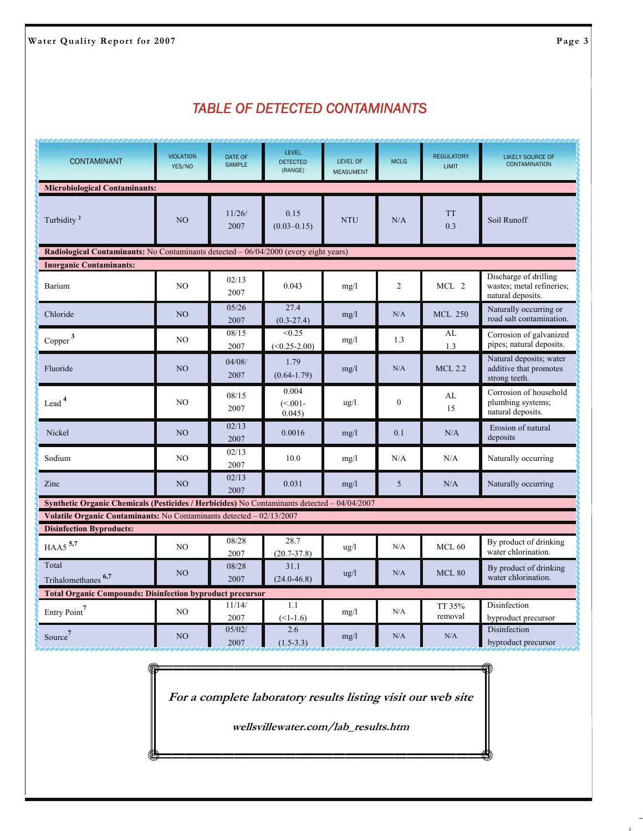### *TABLE OF DETECTED CONTAMINANTS*

| <b>CONTAMINANT</b>                                                                                 | <b>VIOLATION</b><br>YES/NO | <b>DATE OF</b><br><b>SAMPLE</b> | <b>LEVEL</b><br><b>DETECTED</b><br>(RANGE) | <b>LEVEL OF</b><br><b>MEASUMENT</b> | <b>MCLG</b>    | <b>REGULATORY</b><br><b>LIMIT</b> | <b>LIKELY SOURCE OF</b><br><b>CONTAMINATION</b>                         |  |  |
|----------------------------------------------------------------------------------------------------|----------------------------|---------------------------------|--------------------------------------------|-------------------------------------|----------------|-----------------------------------|-------------------------------------------------------------------------|--|--|
| <b>Microbiological Contaminants:</b>                                                               |                            |                                 |                                            |                                     |                |                                   |                                                                         |  |  |
| Turbidity <sup>2</sup>                                                                             | N <sub>O</sub>             | 11/26/<br>2007                  | 0.15<br>$(0.03 - 0.15)$                    | <b>NTU</b>                          | N/A            | <b>TT</b><br>0.3                  | Soil Runoff                                                             |  |  |
| Radiological Contaminants: No Contaminants detected - 06/04/2000 (every eight years)               |                            |                                 |                                            |                                     |                |                                   |                                                                         |  |  |
| <b>Inorganic Contaminants:</b>                                                                     |                            |                                 |                                            |                                     |                |                                   |                                                                         |  |  |
| Barium                                                                                             | N <sub>O</sub>             | 02/13<br>2007                   | 0.043                                      | mg/l                                | $\overline{2}$ | MCL 2                             | Discharge of drilling<br>wastes; metal refineries;<br>natural deposits. |  |  |
| Chloride                                                                                           | N <sub>O</sub>             | 05/26<br>2007                   | 27.4<br>$(0.3 - 27.4)$                     | mg/l                                | N/A            | <b>MCL 250</b>                    | Naturally occurring or<br>road salt contamination.                      |  |  |
| Copper $3$                                                                                         | N <sub>O</sub>             | 08/15<br>2007                   | < 0.25<br>$(<0.25-2.00)$                   | mg/l                                | 1.3            | AL<br>1.3                         | Corrosion of galvanized<br>pipes; natural deposits.                     |  |  |
| Fluoride                                                                                           | NO                         | 04/08/<br>2007                  | 1.79<br>$(0.64 - 1.79)$                    | mg/l                                | N/A            | <b>MCL 2.2</b>                    | Natural deposits; water<br>additive that promotes<br>strong teeth.      |  |  |
| Lead <sup>4</sup>                                                                                  | N <sub>O</sub>             | 08/15<br>2007                   | 0.004<br>$(< 0.01 -$<br>0.045              | $\frac{u g}{l}$                     | $\mathbf{0}$   | AL<br>15                          | Corrosion of household<br>plumbing systems;<br>natural deposits.        |  |  |
| Nickel                                                                                             | NO                         | 02/13<br>2007                   | 0.0016                                     | mg/l                                | 0.1            | N/A                               | Erosion of natural<br>deposits                                          |  |  |
| Sodium                                                                                             | N <sub>O</sub>             | 02/13<br>2007                   | 10.0                                       | mg/1                                | N/A            | N/A                               | Naturally occurring                                                     |  |  |
| Zinc                                                                                               | N <sub>O</sub>             | 02/13<br>2007                   | 0.031                                      | mg/l                                | 5              | N/A                               | Naturally occurring                                                     |  |  |
| <b>Synthetic Organic Chemicals (Pesticides / Herbicides)</b> No Contaminants detected - 04/04/2007 |                            |                                 |                                            |                                     |                |                                   |                                                                         |  |  |
| Volatile Organic Contaminants: No Contaminants detected - 02/13/2007                               |                            |                                 |                                            |                                     |                |                                   |                                                                         |  |  |
| <b>Disinfection Byproducts:</b>                                                                    |                            | 08/28                           | 28.7                                       |                                     |                |                                   |                                                                         |  |  |
| HAA5 <sup>5,7</sup>                                                                                | N <sub>O</sub>             | 2007                            | $(20.7 - 37.8)$                            | $\frac{u}{g}$                       | N/A            | MCL <sub>60</sub>                 | By product of drinking<br>water chlorination.                           |  |  |
| Total<br>Trihalomethanes <sup>6,7</sup>                                                            | NO                         | 08/28<br>2007                   | 31.1<br>$(24.0 - 46.8)$                    | $\frac{u g}{l}$                     | N/A            | MCL80                             | By product of drinking<br>water chlorination.                           |  |  |
| <b>Total Organic Compounds: Disinfection byproduct precursor</b>                                   |                            |                                 |                                            |                                     |                |                                   |                                                                         |  |  |
| Entry Point <sup>7</sup>                                                                           | N <sub>O</sub>             | 11/14/<br>2007                  | 1.1<br>$($ - 1 - 1 .6)                     | mg/l                                | N/A            | TT 35%<br>removal                 | Disinfection<br>byproduct precursor                                     |  |  |
| Source <sup>7</sup>                                                                                | N <sub>O</sub>             | 05/02/<br>2007                  | 2.6<br>$(1.5-3.3)$                         | mg/l                                | N/A            | N/A                               | Disinfection<br>byproduct precursor                                     |  |  |

**For a complete laboratory results listing visit our web site** 

**wellsvillewater.com/lab\_results.htm**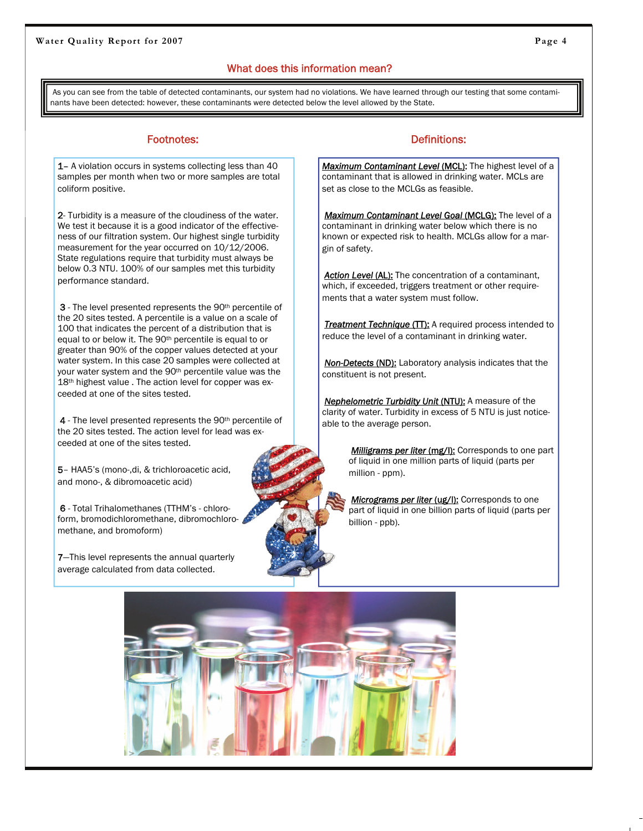### What does this information mean?

As you can see from the table of detected contaminants, our system had no violations. We have learned through our testing that some contaminants have been detected: however, these contaminants were detected below the level allowed by the State.

1– A violation occurs in systems collecting less than 40 samples per month when two or more samples are total coliform positive.

2- Turbidity is a measure of the cloudiness of the water. We test it because it is a good indicator of the effectiveness of our filtration system. Our highest single turbidity measurement for the year occurred on 10/12/2006. State regulations require that turbidity must always be below 0.3 NTU. 100% of our samples met this turbidity performance standard.

3 - The level presented represents the 90<sup>th</sup> percentile of the 20 sites tested. A percentile is a value on a scale of 100 that indicates the percent of a distribution that is equal to or below it. The 90th percentile is equal to or greater than 90% of the copper values detected at your water system. In this case 20 samples were collected at your water system and the 90<sup>th</sup> percentile value was the 18<sup>th</sup> highest value . The action level for copper was exceeded at one of the sites tested.

4 - The level presented represents the 90<sup>th</sup> percentile of the 20 sites tested. The action level for lead was exceeded at one of the sites tested.

5– HAA5's (mono-,di, & trichloroacetic acid, and mono-, & dibromoacetic acid)

6 - Total Trihalomethanes (TTHM's - chloroform, bromodichloromethane, dibromochloromethane, and bromoform)

7–This level represents the annual quarterly average calculated from data collected.

#### Footnotes: The Contract of Contract of Contract of Contract of Contract of Contract of Contract of Contract of Contract of Contract of Contract of Contract of Contract of Contract of Contract of Contract of Contract of Con

Maximum Contaminant Level (MCL): The highest level of a contaminant that is allowed in drinking water. MCLs are set as close to the MCLGs as feasible.

*Maximum Contaminant Level Goal* (MCLG): The level of a contaminant in drinking water below which there is no known or expected risk to health. MCLGs allow for a margin of safety.

**Action Level (AL):** The concentration of a contaminant, which, if exceeded, triggers treatment or other requirements that a water system must follow.

**Treatment Technique (TT):** A required process intended to reduce the level of a contaminant in drinking water.

*Non-Detects* (ND): Laboratory analysis indicates that the constituent is not present.

*Nephelometric Turbidity Unit (NTU):* A measure of the clarity of water. Turbidity in excess of 5 NTU is just noticeable to the average person.

> **Milligrams per liter (mg/l):** Corresponds to one part of liquid in one million parts of liquid (parts per million - ppm).

**Micrograms per liter (ug/l):** Corresponds to one part of liquid in one billion parts of liquid (parts per billion - ppb).